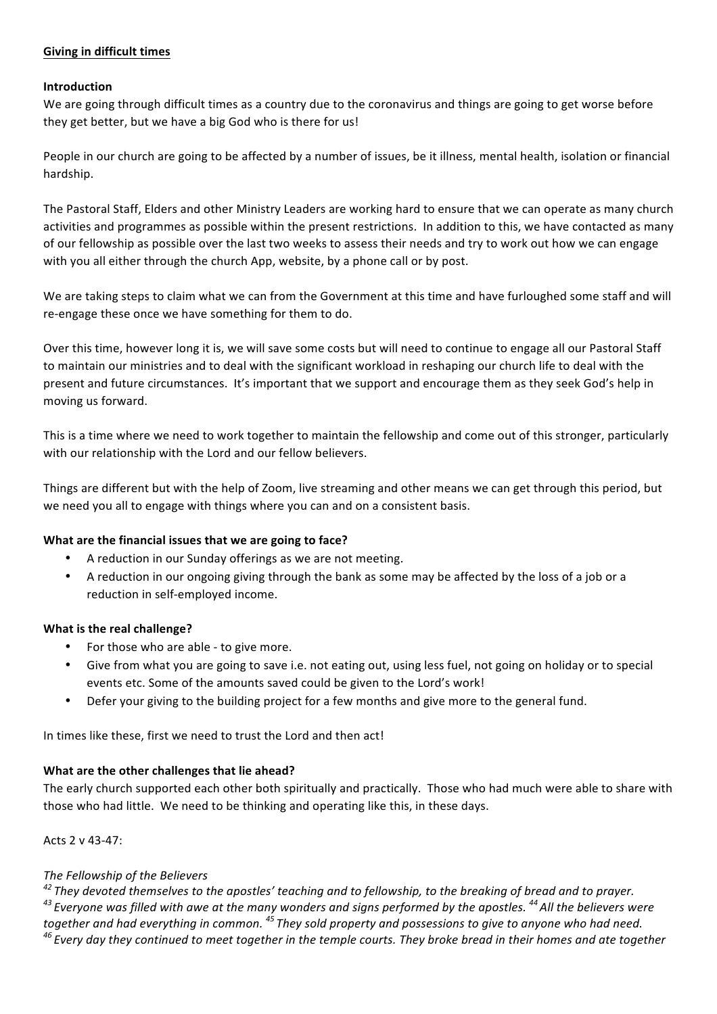# **Giving in difficult times**

### **Introduction**

We are going through difficult times as a country due to the coronavirus and things are going to get worse before they get better, but we have a big God who is there for us!

People in our church are going to be affected by a number of issues, be it illness, mental health, isolation or financial hardship.

The Pastoral Staff, Elders and other Ministry Leaders are working hard to ensure that we can operate as many church activities and programmes as possible within the present restrictions. In addition to this, we have contacted as many of our fellowship as possible over the last two weeks to assess their needs and try to work out how we can engage with you all either through the church App, website, by a phone call or by post.

We are taking steps to claim what we can from the Government at this time and have furloughed some staff and will re-engage these once we have something for them to do.

Over this time, however long it is, we will save some costs but will need to continue to engage all our Pastoral Staff to maintain our ministries and to deal with the significant workload in reshaping our church life to deal with the present and future circumstances. It's important that we support and encourage them as they seek God's help in moving us forward.

This is a time where we need to work together to maintain the fellowship and come out of this stronger, particularly with our relationship with the Lord and our fellow believers.

Things are different but with the help of Zoom, live streaming and other means we can get through this period, but we need you all to engage with things where you can and on a consistent basis.

### **What are the financial issues that we are going to face?**

- A reduction in our Sunday offerings as we are not meeting.
- A reduction in our ongoing giving through the bank as some may be affected by the loss of a job or a reduction in self-employed income.

### **What is the real challenge?**

- For those who are able to give more.
- Give from what you are going to save i.e. not eating out, using less fuel, not going on holiday or to special events etc. Some of the amounts saved could be given to the Lord's work!
- Defer your giving to the building project for a few months and give more to the general fund.

In times like these, first we need to trust the Lord and then act!

# **What are the other challenges that lie ahead?**

The early church supported each other both spiritually and practically. Those who had much were able to share with those who had little. We need to be thinking and operating like this, in these days.

### Acts 2 v 43-47:

### *The Fellowship of the Believers*

<sup>42</sup> They devoted themselves to the apostles' teaching and to fellowship, to the breaking of bread and to prayer. <sup>43</sup> Everyone was filled with awe at the many wonders and signs performed by the apostles.<sup>44</sup> All the believers were *together and had everything in common.* <sup>45</sup> *They sold property and possessions to give to anyone who had need.* <sup>46</sup> Every day they continued to meet together in the temple courts. They broke bread in their homes and ate together